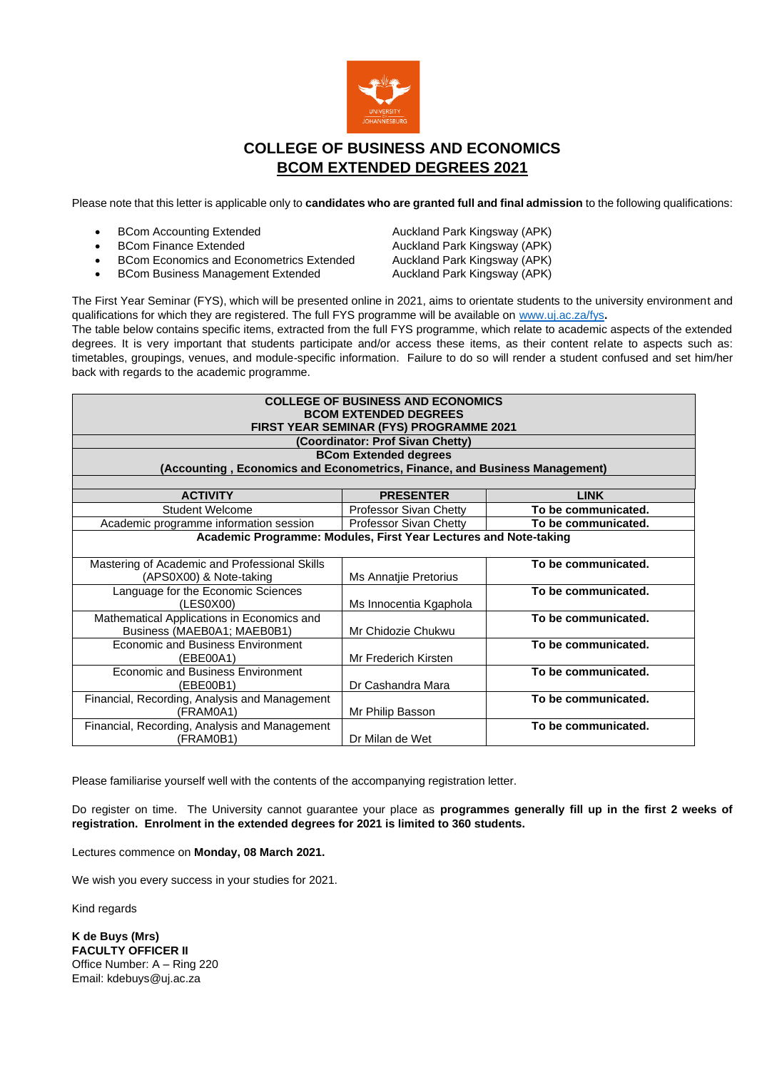

# **COLLEGE OF BUSINESS AND ECONOMICS BCOM EXTENDED DEGREES 2021**

Please note that this letter is applicable only to **candidates who are granted full and final admission** to the following qualifications:

- 
- 
- BCom Economics and Econometrics Extended Auckland Park Kingsway (APK)
- **BCom Business Management Extended Auckland Park Kingsway (APK)**

**• BCom Accounting Extended Auckland Park Kingsway (APK)**<br>• BCom Finance Extended Auckland Park Kingsway (APK) Auckland Park Kingsway (APK)

The First Year Seminar (FYS), which will be presented online in 2021, aims to orientate students to the university environment and qualifications for which they are registered. The full FYS programme will be available on [www.uj.ac.za/fys](http://www.uj.ac.za/fys)**.** 

The table below contains specific items, extracted from the full FYS programme, which relate to academic aspects of the extended degrees. It is very important that students participate and/or access these items, as their content relate to aspects such as: timetables, groupings, venues, and module-specific information. Failure to do so will render a student confused and set him/her back with regards to the academic programme.

| <b>COLLEGE OF BUSINESS AND ECONOMICS</b><br><b>BCOM EXTENDED DEGREES</b><br>FIRST YEAR SEMINAR (FYS) PROGRAMME 2021<br>(Coordinator: Prof Sivan Chetty)<br><b>BCom Extended degrees</b><br>(Accounting, Economics and Econometrics, Finance, and Business Management) |                                                 |                     |  |
|-----------------------------------------------------------------------------------------------------------------------------------------------------------------------------------------------------------------------------------------------------------------------|-------------------------------------------------|---------------------|--|
| <b>ACTIVITY</b>                                                                                                                                                                                                                                                       | <b>PRESENTER</b>                                | <b>LINK</b>         |  |
| <b>Student Welcome</b>                                                                                                                                                                                                                                                | Professor Sivan Chetty                          | To be communicated. |  |
| Academic programme information session                                                                                                                                                                                                                                | Professor Sivan Chetty                          | To be communicated. |  |
| Academic Programme: Modules, First Year Lectures and Note-taking<br>To be communicated.<br>Mastering of Academic and Professional Skills                                                                                                                              |                                                 |                     |  |
| (APS0X00) & Note-taking<br>Language for the Economic Sciences<br>(LES0X00)                                                                                                                                                                                            | Ms Annatjie Pretorius<br>Ms Innocentia Kgaphola | To be communicated. |  |
| Mathematical Applications in Economics and<br>Business (MAEB0A1; MAEB0B1)                                                                                                                                                                                             | Mr Chidozie Chukwu                              | To be communicated. |  |
| <b>Economic and Business Environment</b><br>(EBE00A1)                                                                                                                                                                                                                 | Mr Frederich Kirsten                            | To be communicated. |  |
| Economic and Business Environment<br>(EBE00B1)                                                                                                                                                                                                                        | Dr Cashandra Mara                               | To be communicated. |  |
| Financial, Recording, Analysis and Management<br>(FRAM0A1)                                                                                                                                                                                                            | Mr Philip Basson                                | To be communicated. |  |
| Financial, Recording, Analysis and Management<br>(FRAM0B1)                                                                                                                                                                                                            | Dr Milan de Wet                                 | To be communicated. |  |

Please familiarise yourself well with the contents of the accompanying registration letter.

Do register on time. The University cannot guarantee your place as **programmes generally fill up in the first 2 weeks of registration. Enrolment in the extended degrees for 2021 is limited to 360 students.**

Lectures commence on **Monday, 08 March 2021.**

We wish you every success in your studies for 2021.

Kind regards

**K de Buys (Mrs) FACULTY OFFICER II** Office Number: A – Ring 220 Email: kdebuys@uj.ac.za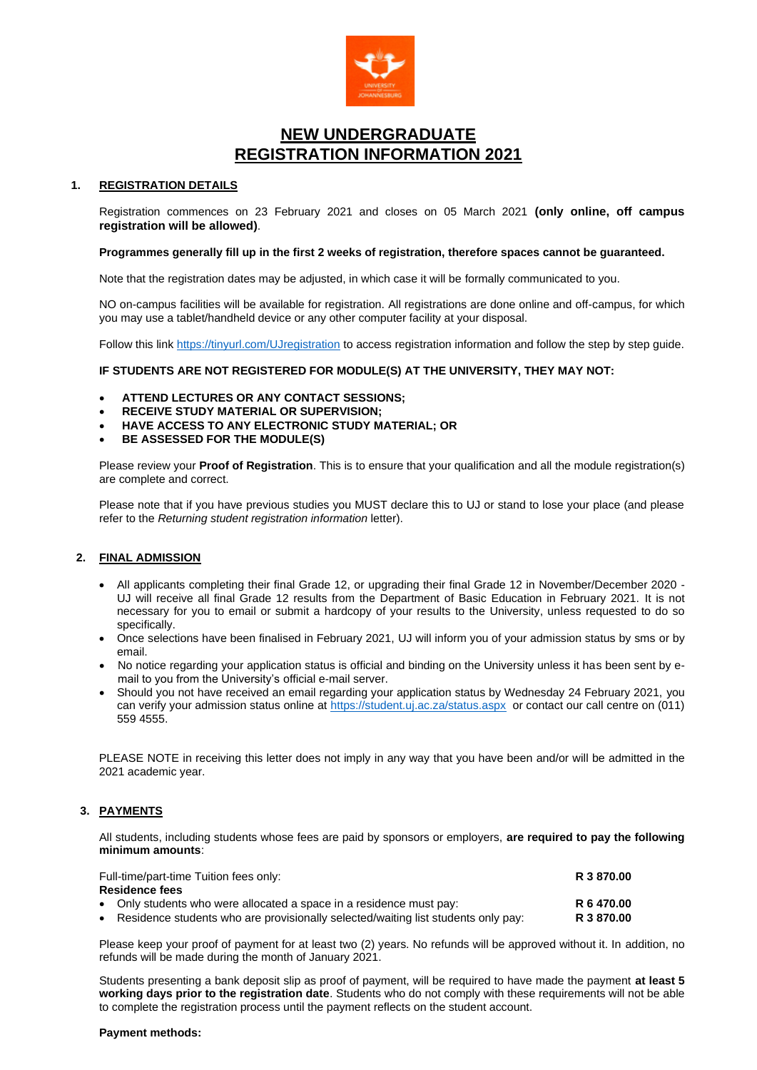

# **NEW UNDERGRADUATE REGISTRATION INFORMATION 2021**

## **1. REGISTRATION DETAILS**

Registration commences on 23 February 2021 and closes on 05 March 2021 **(only online, off campus registration will be allowed)**.

#### **Programmes generally fill up in the first 2 weeks of registration, therefore spaces cannot be guaranteed.**

Note that the registration dates may be adjusted, in which case it will be formally communicated to you.

NO on-campus facilities will be available for registration. All registrations are done online and off-campus, for which you may use a tablet/handheld device or any other computer facility at your disposal.

Follow this link<https://tinyurl.com/UJregistration> to access registration information and follow the step by step guide.

**IF STUDENTS ARE NOT REGISTERED FOR MODULE(S) AT THE UNIVERSITY, THEY MAY NOT:**

- **ATTEND LECTURES OR ANY CONTACT SESSIONS;**
- **RECEIVE STUDY MATERIAL OR SUPERVISION;**
- **HAVE ACCESS TO ANY ELECTRONIC STUDY MATERIAL; OR**
- **BE ASSESSED FOR THE MODULE(S)**

Please review your **Proof of Registration**. This is to ensure that your qualification and all the module registration(s) are complete and correct.

Please note that if you have previous studies you MUST declare this to UJ or stand to lose your place (and please refer to the *Returning student registration information* letter).

#### **2. FINAL ADMISSION**

- All applicants completing their final Grade 12, or upgrading their final Grade 12 in November/December 2020 UJ will receive all final Grade 12 results from the Department of Basic Education in February 2021. It is not necessary for you to email or submit a hardcopy of your results to the University, unless requested to do so specifically.
- Once selections have been finalised in February 2021, UJ will inform you of your admission status by sms or by email.
- No notice regarding your application status is official and binding on the University unless it has been sent by email to you from the University's official e-mail server.
- Should you not have received an email regarding your application status by Wednesday 24 February 2021, you can verify your admission status online at<https://student.uj.ac.za/status.aspx>or contact our call centre on (011) 559 4555.

PLEASE NOTE in receiving this letter does not imply in any way that you have been and/or will be admitted in the 2021 academic year.

## **3. PAYMENTS**

All students, including students whose fees are paid by sponsors or employers, **are required to pay the following minimum amounts**:

| Full-time/part-time Tuition fees only:                                              | R 3 870.00 |  |
|-------------------------------------------------------------------------------------|------------|--|
| Residence fees                                                                      |            |  |
| • Only students who were allocated a space in a residence must pay:                 | R 6 470.00 |  |
| • Residence students who are provisionally selected/waiting list students only pay: | R 3 870.00 |  |

Please keep your proof of payment for at least two (2) years. No refunds will be approved without it. In addition, no refunds will be made during the month of January 2021.

Students presenting a bank deposit slip as proof of payment, will be required to have made the payment **at least 5 working days prior to the registration date**. Students who do not comply with these requirements will not be able to complete the registration process until the payment reflects on the student account.

#### **Payment methods:**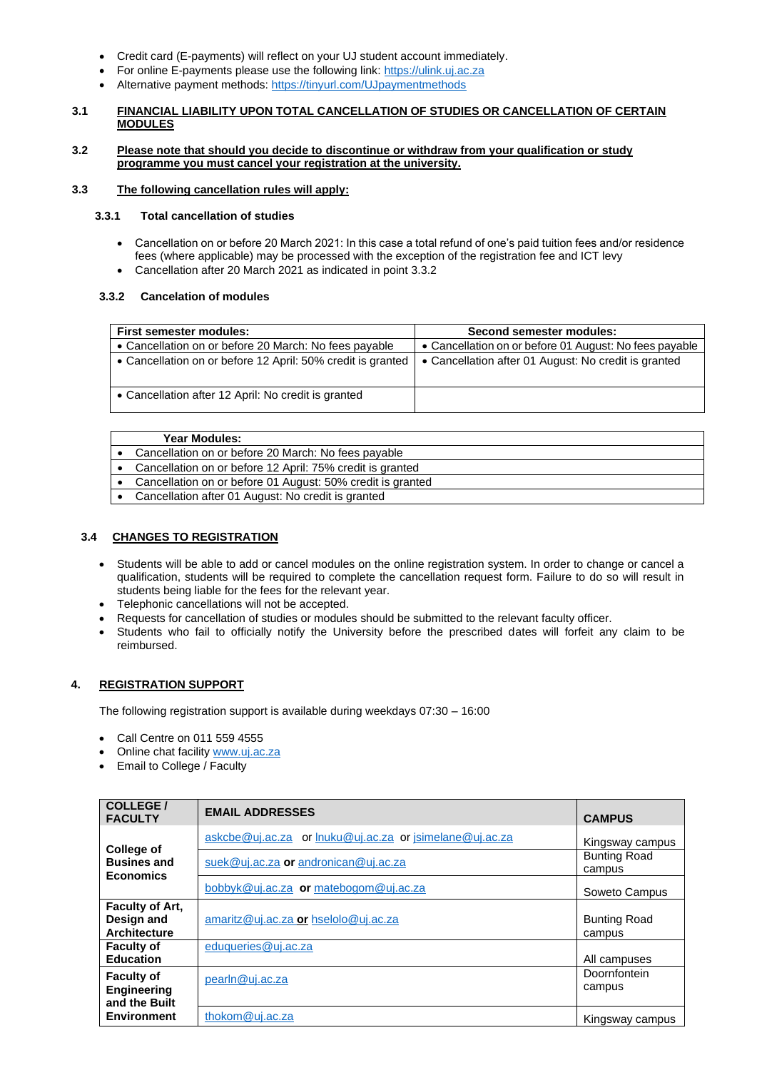- Credit card (E-payments) will reflect on your UJ student account immediately.
- For online E-payments please use the following link: [https://ulink.uj.ac.za](https://ulink.uj.ac.za/)
- Alternative payment methods: <https://tinyurl.com/UJpaymentmethods>

### **3.1 FINANCIAL LIABILITY UPON TOTAL CANCELLATION OF STUDIES OR CANCELLATION OF CERTAIN MODULES**

## **3.2 Please note that should you decide to discontinue or withdraw from your qualification or study programme you must cancel your registration at the university.**

## **3.3 The following cancellation rules will apply:**

## **3.3.1 Total cancellation of studies**

- Cancellation on or before 20 March 2021: In this case a total refund of one's paid tuition fees and/or residence fees (where applicable) may be processed with the exception of the registration fee and ICT levy
- Cancellation after 20 March 2021 as indicated in point 3.3.2

## **3.3.2 Cancelation of modules**

| <b>First semester modules:</b>                              | <b>Second semester modules:</b>                        |
|-------------------------------------------------------------|--------------------------------------------------------|
| • Cancellation on or before 20 March: No fees payable       | • Cancellation on or before 01 August: No fees payable |
| • Cancellation on or before 12 April: 50% credit is granted | • Cancellation after 01 August: No credit is granted   |
| • Cancellation after 12 April: No credit is granted         |                                                        |

| <b>Year Modules:</b>                                       |
|------------------------------------------------------------|
| Cancellation on or before 20 March: No fees payable        |
| Cancellation on or before 12 April: 75% credit is granted  |
| Cancellation on or before 01 August: 50% credit is granted |
| Cancellation after 01 August: No credit is granted         |
|                                                            |

## **3.4 CHANGES TO REGISTRATION**

- Students will be able to add or cancel modules on the online registration system. In order to change or cancel a qualification, students will be required to complete the cancellation request form. Failure to do so will result in students being liable for the fees for the relevant year.
- Telephonic cancellations will not be accepted.
- Requests for cancellation of studies or modules should be submitted to the relevant faculty officer.
- Students who fail to officially notify the University before the prescribed dates will forfeit any claim to be reimbursed.

## **4. REGISTRATION SUPPORT**

The following registration support is available during weekdays 07:30 – 16:00

- Call Centre on 011 559 4555
- Online chat facilit[y www.uj.ac.za](http://www.uj.ac.za/)
- Email to College / Faculty

| COLLEGE /<br><b>FACULTY</b>                                 | <b>EMAIL ADDRESSES</b>                                  | <b>CAMPUS</b>                 |
|-------------------------------------------------------------|---------------------------------------------------------|-------------------------------|
|                                                             | askcbe@uj.ac.za or lnuku@uj.ac.za or jsimelane@uj.ac.za | Kingsway campus               |
| <b>College of</b><br><b>Busines and</b><br><b>Economics</b> | suek@uj.ac.za or andronican@uj.ac.za                    | <b>Bunting Road</b><br>campus |
|                                                             | bobbyk@uj.ac.za or matebogom@uj.ac.za                   | Soweto Campus                 |
| <b>Faculty of Art.</b><br>Design and<br><b>Architecture</b> | amaritz@uj.ac.za or hselolo@uj.ac.za                    | <b>Bunting Road</b><br>campus |
| <b>Faculty of</b><br><b>Education</b>                       | eduqueries@uj.ac.za                                     | All campuses                  |
| <b>Faculty of</b><br><b>Engineering</b><br>and the Built    | pearln@uj.ac.za                                         | Doornfontein<br>campus        |
| <b>Environment</b>                                          | thokom@uj.ac.za                                         | Kingsway campus               |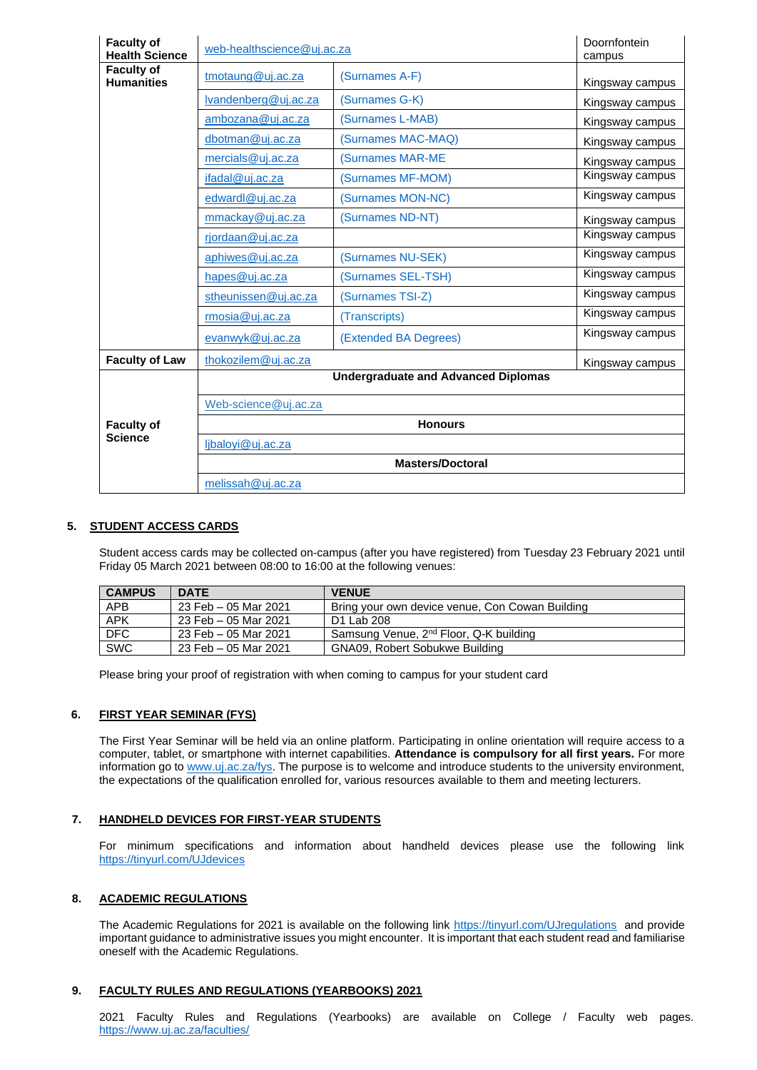| <b>Faculty of</b><br><b>Health Science</b> | web-healthscience@uj.ac.za                 | Doornfontein<br>campus   |                 |  |
|--------------------------------------------|--------------------------------------------|--------------------------|-----------------|--|
| <b>Faculty of</b><br><b>Humanities</b>     | tmotaung@uj.ac.za                          | (Surnames A-F)           | Kingsway campus |  |
|                                            | Ivandenberg@uj.ac.za                       | (Surnames G-K)           | Kingsway campus |  |
|                                            | ambozana@uj.ac.za                          | (Surnames L-MAB)         | Kingsway campus |  |
|                                            | dbotman@uj.ac.za                           | (Surnames MAC-MAQ)       | Kingsway campus |  |
|                                            | mercials@uj.ac.za                          | <b>(Surnames MAR-ME)</b> | Kingsway campus |  |
|                                            | ifadal@uj.ac.za                            | (Surnames MF-MOM)        | Kingsway campus |  |
|                                            | edwardl@uj.ac.za                           | (Surnames MON-NC)        | Kingsway campus |  |
|                                            | mmackay@uj.ac.za                           | (Surnames ND-NT)         | Kingsway campus |  |
|                                            | rjordaan@uj.ac.za                          |                          | Kingsway campus |  |
|                                            | aphiwes@uj.ac.za                           | (Surnames NU-SEK)        | Kingsway campus |  |
|                                            | hapes@uj.ac.za                             | (Surnames SEL-TSH)       | Kingsway campus |  |
|                                            | stheunissen@uj.ac.za                       | (Surnames TSI-Z)         | Kingsway campus |  |
|                                            | rmosia@uj.ac.za                            | (Transcripts)            | Kingsway campus |  |
|                                            | evanwyk@uj.ac.za                           | (Extended BA Degrees)    | Kingsway campus |  |
| <b>Faculty of Law</b>                      | thokozilem@uj.ac.za                        |                          | Kingsway campus |  |
|                                            | <b>Undergraduate and Advanced Diplomas</b> |                          |                 |  |
|                                            | Web-science@uj.ac.za                       |                          |                 |  |
| <b>Faculty of</b>                          | <b>Honours</b>                             |                          |                 |  |
| <b>Science</b>                             | ljbaloyi@uj.ac.za                          |                          |                 |  |
|                                            | <b>Masters/Doctoral</b>                    |                          |                 |  |
|                                            | melissah@uj.ac.za                          |                          |                 |  |

## **5. STUDENT ACCESS CARDS**

Student access cards may be collected on-campus (after you have registered) from Tuesday 23 February 2021 until Friday 05 March 2021 between 08:00 to 16:00 at the following venues:

| <b>CAMPUS</b> | <b>DATE</b>          | <b>VENUE</b>                                       |
|---------------|----------------------|----------------------------------------------------|
| <b>APB</b>    | 23 Feb - 05 Mar 2021 | Bring your own device venue, Con Cowan Building    |
| <b>APK</b>    | 23 Feb – 05 Mar 2021 | D1 Lab 208                                         |
| DFC           | 23 Feb – 05 Mar 2021 | Samsung Venue, 2 <sup>nd</sup> Floor, Q-K building |
| <b>SWC</b>    | 23 Feb – 05 Mar 2021 | <b>GNA09, Robert Sobukwe Building</b>              |

Please bring your proof of registration with when coming to campus for your student card

## **6. FIRST YEAR SEMINAR (FYS)**

The First Year Seminar will be held via an online platform. Participating in online orientation will require access to a computer, tablet, or smartphone with internet capabilities. **Attendance is compulsory for all first years.** For more information go to [www.uj.ac.za/fys.](http://www.uj.ac.za/fys) The purpose is to welcome and introduce students to the university environment, the expectations of the qualification enrolled for, various resources available to them and meeting lecturers.

## **7. HANDHELD DEVICES FOR FIRST-YEAR STUDENTS**

For minimum specifications and information about handheld devices please use the following link <https://tinyurl.com/UJdevices>

#### **8. ACADEMIC REGULATIONS**

The Academic Regulations for 2021 is available on the following link <https://tinyurl.com/UJregulations> and provide important guidance to administrative issues you might encounter. It is important that each student read and familiarise oneself with the Academic Regulations.

#### **9. FACULTY RULES AND REGULATIONS (YEARBOOKS) 2021**

2021 Faculty Rules and Regulations (Yearbooks) are available on College / Faculty web pages. <https://www.uj.ac.za/faculties/>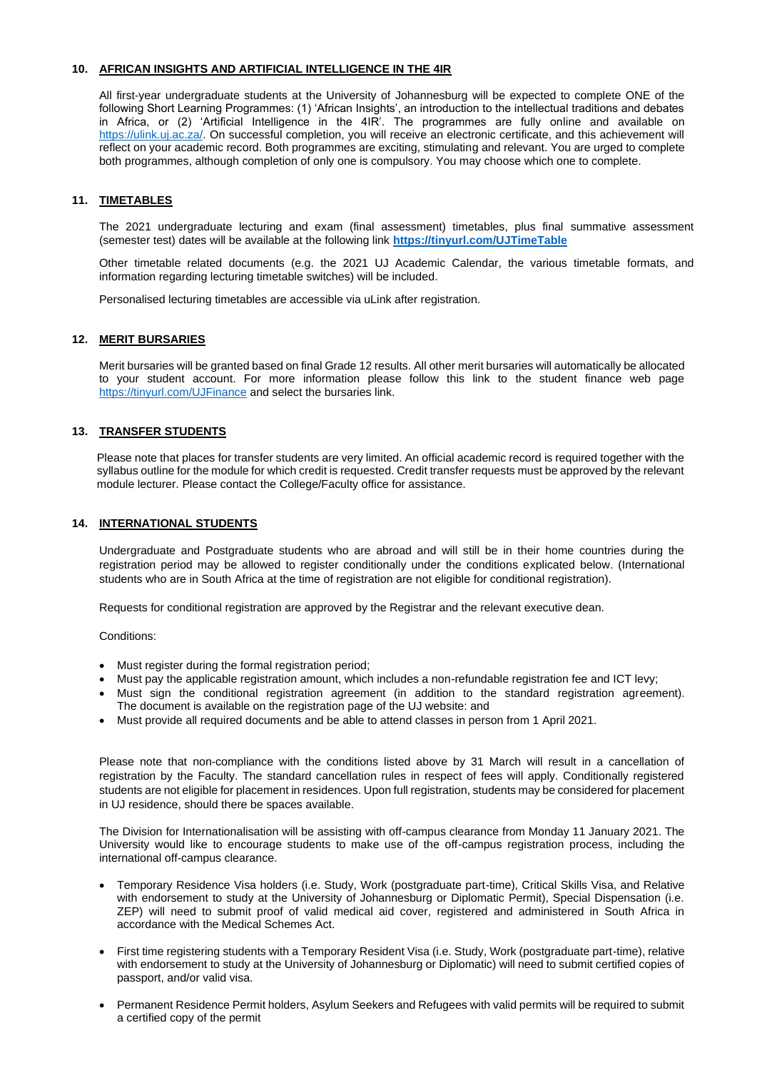#### **10. AFRICAN INSIGHTS AND ARTIFICIAL INTELLIGENCE IN THE 4IR**

All first-year undergraduate students at the University of Johannesburg will be expected to complete ONE of the following Short Learning Programmes: (1) 'African Insights', an introduction to the intellectual traditions and debates in Africa, or (2) 'Artificial Intelligence in the 4IR'. The programmes are fully online and available on [https://ulink.uj.ac.za/.](https://ulink.uj.ac.za/) On successful completion, you will receive an electronic certificate, and this achievement will reflect on your academic record. Both programmes are exciting, stimulating and relevant. You are urged to complete both programmes, although completion of only one is compulsory. You may choose which one to complete.

## **11. TIMETABLES**

The 2021 undergraduate lecturing and exam (final assessment) timetables, plus final summative assessment (semester test) dates will be available at the following link **<https://tinyurl.com/UJTimeTable>**

Other timetable related documents (e.g. the 2021 UJ Academic Calendar, the various timetable formats, and information regarding lecturing timetable switches) will be included.

Personalised lecturing timetables are accessible via uLink after registration.

#### **12. MERIT BURSARIES**

Merit bursaries will be granted based on final Grade 12 results. All other merit bursaries will automatically be allocated to your student account. For more information please follow this link to the student finance web page <https://tinyurl.com/UJFinance> and select the bursaries link.

## **13. TRANSFER STUDENTS**

Please note that places for transfer students are very limited. An official academic record is required together with the syllabus outline for the module for which credit is requested. Credit transfer requests must be approved by the relevant module lecturer. Please contact the College/Faculty office for assistance.

### **14. INTERNATIONAL STUDENTS**

Undergraduate and Postgraduate students who are abroad and will still be in their home countries during the registration period may be allowed to register conditionally under the conditions explicated below. (International students who are in South Africa at the time of registration are not eligible for conditional registration).

Requests for conditional registration are approved by the Registrar and the relevant executive dean.

Conditions:

- Must register during the formal registration period;
- Must pay the applicable registration amount, which includes a non-refundable registration fee and ICT levy;
- Must sign the conditional registration agreement (in addition to the standard registration agreement). The document is available on the registration page of the UJ website: and
- Must provide all required documents and be able to attend classes in person from 1 April 2021.

Please note that non-compliance with the conditions listed above by 31 March will result in a cancellation of registration by the Faculty. The standard cancellation rules in respect of fees will apply. Conditionally registered students are not eligible for placement in residences. Upon full registration, students may be considered for placement in UJ residence, should there be spaces available.

The Division for Internationalisation will be assisting with off-campus clearance from Monday 11 January 2021. The University would like to encourage students to make use of the off-campus registration process, including the international off-campus clearance.

- Temporary Residence Visa holders (i.e. Study, Work (postgraduate part-time), Critical Skills Visa, and Relative with endorsement to study at the University of Johannesburg or Diplomatic Permit), Special Dispensation (i.e. ZEP) will need to submit proof of valid medical aid cover, registered and administered in South Africa in accordance with the Medical Schemes Act.
- First time registering students with a Temporary Resident Visa (i.e. Study, Work (postgraduate part-time), relative with endorsement to study at the University of Johannesburg or Diplomatic) will need to submit certified copies of passport, and/or valid visa.
- Permanent Residence Permit holders, Asylum Seekers and Refugees with valid permits will be required to submit a certified copy of the permit